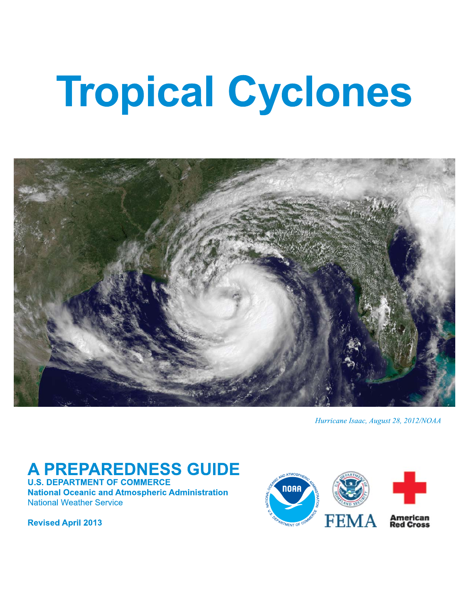# **Tropical Cyclones**



Hurricane Isaac, August 28, 2012/NOAA

# **A PREPAREDNESS GUIDE**

**U.S. DEPARTMENT OF COMMERCE National Oceanic and Atmospheric Administration National Weather Service** 

**Revised April 2013** 

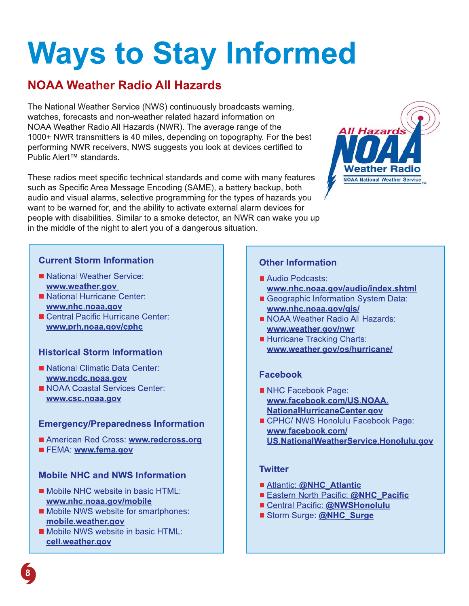# **Ways to Stay Informed**

# **NOAA Weather Radio All Hazards**

The National Weather Service (NWS) continuously broadcasts warning. watches, forecasts and non-weather related hazard information on NOAA Weather Radio All Hazards (NWR). The average range of the 1000+ NWR transmitters is 40 miles, depending on topography. For the best performing NWR receivers, NWS suggests you look at devices certified to Public Alert<sup>™</sup> standards.

These radios meet specific technical standards and come with many features such as Specific Area Message Encoding (SAME), a battery backup, both audio and visual alarms, selective programming for the types of hazards you want to be warned for, and the ability to activate external alarm devices for people with disabilities. Similar to a smoke detector, an NWR can wake you up in the middle of the night to alert you of a dangerous situation.



### **Current Storm Information**

- National Weather Service: www.weather.gov
- National Hurricane Center: www.nhc.noaa.gov
- Central Pacific Hurricane Center: www.prh.noaa.gov/cphc

### **Historical Storm Information**

- National Climatic Data Center: www.ncdc.noaa.gov
- NOAA Coastal Services Center: www.csc.noaa.gov

### **Emergency/Preparedness Information**

- American Red Cross: www.redcross.org
- FEMA: www.fema.gov

### **Mobile NHC and NWS Information**

- Mobile NHC website in basic HTML: www.nhc.noaa.gov/mobile
- Mobile NWS website for smartphones: mobile.weather.gov
- Mobile NWS website in basic HTML: cell.weather.gov

### **Other Information**

- Audio Podcasts: www.nhc.noaa.gov/audio/index.shtml
- Geographic Information System Data: www.nhc.noaa.gov/gis/
- NOAA Weather Radio All Hazards: www.weather.gov/nwr
- Hurricane Tracking Charts: www.weather.gov/os/hurricane/

### **Facebook**

- NHC Facebook Page: www.facebook.com/US.NOAA. **NationalHurricaneCenter.gov**
- CPHC/ NWS Honolulu Facebook Page: www.facebook.com/ US.NationalWeatherService.Honolulu.gov

### **Twitter**

- Atlantic: @NHC Atlantic
- Eastern North Pacific: @NHC Pacific
- Central Pacific: @NWSHonolulu
- Storm Surge: @NHC Surge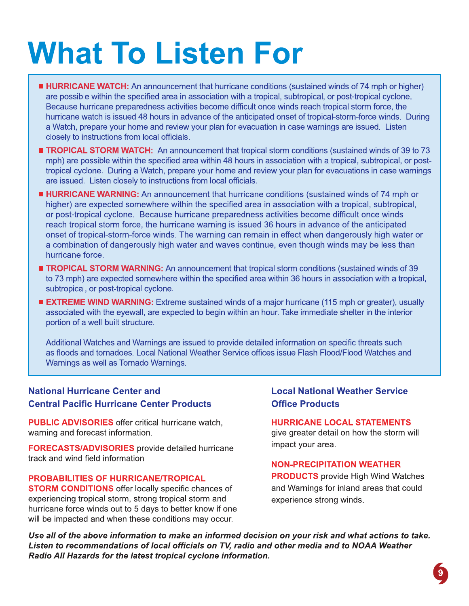# **What To Listen For**

- **HURRICANE WATCH:** An announcement that hurricane conditions (sustained winds of 74 mph or higher) are possible within the specified area in association with a tropical, subtropical, or post-tropical cyclone. Because hurricane preparedness activities become difficult once winds reach tropical storm force, the hurricane watch is issued 48 hours in advance of the anticipated onset of tropical-storm-force winds. During a Watch, prepare your home and review your plan for evacuation in case warnings are issued. Listen closely to instructions from local officials.
- **TROPICAL STORM WATCH:** An announcement that tropical storm conditions (sustained winds of 39 to 73 mph) are possible within the specified area within 48 hours in association with a tropical, subtropical, or posttropical cyclone. During a Watch, prepare your home and review your plan for evacuations in case warnings are issued. Listen closely to instructions from local officials.
- **HURRICANE WARNING:** An announcement that hurricane conditions (sustained winds of 74 mph or higher) are expected somewhere within the specified area in association with a tropical, subtropical, or post-tropical cyclone. Because hurricane preparedness activities become difficult once winds reach tropical storm force, the hurricane warning is issued 36 hours in advance of the anticipated onset of tropical-storm-force winds. The warning can remain in effect when dangerously high water or a combination of dangerously high water and waves continue, even though winds may be less than hurricane force.
- **TROPICAL STORM WARNING:** An announcement that tropical storm conditions (sustained winds of 39 to 73 mph) are expected somewhere within the specified area within 36 hours in association with a tropical, subtropical, or post-tropical cyclone.
- **EXTREME WIND WARNING:** Extreme sustained winds of a major hurricane (115 mph or greater), usually associated with the eyewall, are expected to begin within an hour. Take immediate shelter in the interior portion of a well-built structure.

Additional Watches and Warnings are issued to provide detailed information on specific threats such as floods and tornadoes. Local National Weather Service offices issue Flash Flood/Flood Watches and Warnings as well as Tornado Warnings.

### **National Hurricane Center and Central Pacific Hurricane Center Products**

**PUBLIC ADVISORIES** offer critical hurricane watch, warning and forecast information.

**FORECASTS/ADVISORIES** provide detailed hurricane track and wind field information

#### **PROBABILITIES OF HURRICANE/TROPICAL**

**STORM CONDITIONS** offer locally specific chances of experiencing tropical storm, strong tropical storm and hurricane force winds out to 5 days to better know if one will be impacted and when these conditions may occur.

### **Local National Weather Service Office Products**

**HURRICANE LOCAL STATEMENTS** give greater detail on how the storm will impact your area.

#### **NON-PRECIPITATION WEATHER**

**PRODUCTS** provide High Wind Watches and Warnings for inland areas that could experience strong winds.

Use all of the above information to make an informed decision on your risk and what actions to take. Listen to recommendations of local officials on TV, radio and other media and to NOAA Weather Radio All Hazards for the latest tropical cyclone information.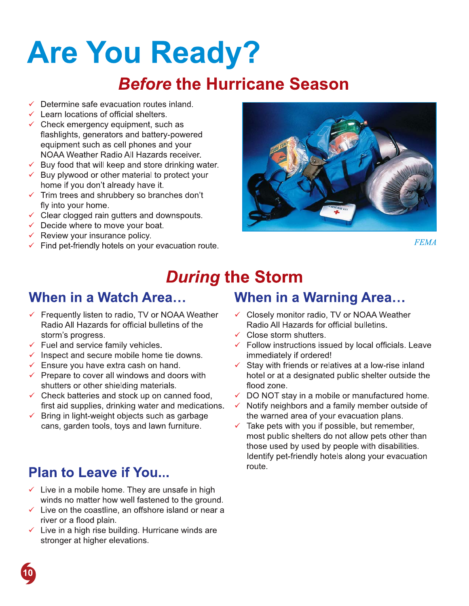# Are You Ready? **Are You Ready**<br> **Before the Hurr**<br>
Velocations of official shelters.<br>
Velocations of official shelters.<br>
Velocations of official shelters.<br>
Velocations of official shelters.<br>
Velocations and battery-powered<br>
equipment suc

# **Before the Hurricane Season**

- 
- 
- $\checkmark$  Learn locations of official shelters.<br> $\checkmark$  Check emergency equipment, such as **Before the Human Section**<br> **Before the Human Section**<br> *V* Determine safe evacuation routes inland.<br> *V* Check emergency equipment, such as<br>
flashlights, generators and battery-powered<br>
equipment such as cell phones and y flashlights, generators and battery-powered<br>equipment such as cell phones and your 'K2+L\*',(-21G.-1'44LG3,'-.,5J32) **Before the Hurrican**<br>
∨ Determine safe evacuation routes inland.<br>
∨ Learn locations of official shelters.<br>
∨ Check emergency equipment, such as<br>
flashlights, generators and battery-powered<br>
equipment such as cell phones V Determine safe evacuation routes inland.<br>
V Learn locations of official shelters.<br>
∨ Check emergency equipment, such as<br>
flashlights, generators and battery-powered<br>
equipment such as cell phones and your<br>
NOAA Weather V Determine sale evacuation rotues miand.<br>
V Learn locations of official shelters.<br>
V Check emergency equipment, such as<br>
flashlights, generators and battery-powered<br>
equipment such as cell phones and your<br>
NOAA Weather R V Learn locations of official shelters.<br>
∠ Check emergency equipment, such as<br>
flashlights, generators and battery-powered<br>
equipment such as cell phones and your<br>
NOAA Weather Radio All Hazards receiver.<br>
∠ Buy food that masningnts, generators and battery-powered<br>equipment such as cell phones and your<br>NOAA Weather Radio All Hazards receiver.<br> $\checkmark$  Buy food that will keep and store drinking wat<br> $\checkmark$  Buy plywood or other material to protec
	-
	- Equipment such as den phones and your<br>
	NOAA Weather Radio All Hazards receiver.<br>  $\checkmark$  Buy food that will keep and store drinking wa<br>  $\checkmark$  Buy plywood or other material to protect you<br>
	home if you don't already have it.<br> NOAA weather Radio All Hazards receiver.<br>  $\checkmark$  Buy food that will keep and store drinking wa<br>  $\checkmark$  Buy plywood or other material to protect you<br>
	home if you don't already have it.<br>  $\checkmark$  Trim trees and shrubbery so bran
		- fly into your home.<br> $\checkmark$  Clear clogged rain gutters and downspouts.
		-
		-
		-
		-



 $FEMA$ 

# During the Storm<br>When in a Watch Area... When in a

- Review your insurance policy.<br>
Find pet-friendly hotels on your evacuation route.<br> **During the Storn**<br>
When in a Watch Area...<br>
When in a Watch Area...<br>
When in a Watch Area...<br>
Frequently listen to radio, TV or NOAA Weat Radio All Hazards for official bulletins of the storm's progress. **Video Incommon Solution Server Server Server Server Server Server Server Server Server Server Server Server Server Server Server Server Server Server Server Server Server Server Server Server Server Server Server Server During theory of Source 1.1**<br>
When in a Watch Area...<br>
Yerequently listen to radio, TV or NOAA Weather<br>
Radio All Hazards for official bulletins of the<br>
storm's progress.<br>
Yerel and service family vehicles.<br>
Yerel and ser **Solution Solution CONTROM CONTROM CONTROM CONTROM CONTROM CREAD AND MANUST CRUDITY OF Rediction Strongly vehicles.**<br>
Very Frequently listen to radio, TV or NOAA Weather V C Radio All Hazards for official bulletins of the **When in a Watch Area...**<br>  $\checkmark$  Frequently listen to radio, TV or NOAA V<br>
Radio All Hazards for official bulletins of<br>
storm's progress.<br>  $\checkmark$  Fuel and service family vehicles.<br>  $\checkmark$  Inspect and secure mobile home tie **When In a Watch Area...**<br>  $\checkmark$  Frequently listen to radio, TV or NOAA Weathe<br>
Radio All Hazards for official bulletins of the<br>
storm's progress.<br>  $\checkmark$  Fuel and service family vehicles.<br>  $\checkmark$  Inspect and secure mobile Frequently listen to radio, TV or NOAA Weather<br>
Radio All Hazards for official bulletins of the<br>
storm's progress.<br>
Very land service family vehicles.<br>
Very land secure mobile home tie downs.<br>
Very lange extra cash on hand Frequenty listent to radio, it of NOAA weather<br>
Radio All Hazards for official bulletins of the<br>
storm's progress.<br>
Close<br>
Fuel and service family vehicles.<br>
Close<br>
Fuel and service family vehicles.<br>
Fuel and service famil
	-
	-
	-
	-
	- first aid supplies, drinking water and medications.<br> $\checkmark$  Bring in light-weight objects such as garbage Som is progress.<br>  $\checkmark$  Euel and secure family vehicles.<br>  $\checkmark$  Euel and secure mobile home tie downs.<br>  $\checkmark$  Ensure you have extra cash on hand.<br>  $\checkmark$  Ensure you have extra cash on hand.<br>  $\checkmark$  Ensure you have extra cas
		-

# Plan to Leave if You...

- Fuer and service larming venicies.<br>  $\checkmark$  Inspect and secure mobile home tie downs.<br>  $\checkmark$  Ensure you have extra cash on hand.<br>  $\checkmark$  Prepare to cover all windows and doors with thotel or a<br>
shutters or other shielding ma
- %+0'+,.\*3b+4'G3\*'6aG'J.)'2,-./'+,G+IG **Plan to Leave if You...**<br>  $\checkmark$  Take p<br>
most p<br>
most p<br>
most p<br>
most p<br>
those u<br>
ldentify<br> **Plan to Leave if You...**<br>  $\checkmark$  Live in a mobile home. They are unsafe in high<br>
winds no matter how well fastened to the ground. Most public<br>
most public<br>
most public<br>
those used<br>
ldentify pet-<br>
<br>
v Live in a mobile home. They are unsafe in high<br>
winds no matter how well fastened to the ground.<br>
v Live on the coastline, an offshore island or near a river or a flood plain.<br> $\checkmark$  Live in a high rise building. Hurricane winds are Hentify pet-fr<br>
Vertical Control of the U.S. They are unsafe in high<br>
Vertical Control of the ground.<br>
Vertical Control of the constitution of the ground.<br>
Vertical Control of the constitution of the ground.<br>
Vertical Cont
	- **Plan to Leave if You...**<br>  $\checkmark$  Live in a mobile home. They are unsafe in<br>
	winds no matter how well fastened to the g<br>  $\checkmark$  Live on the coastline, an offshore island or<br>
	river or a flood plain.<br>  $\checkmark$  Live in a high ris

### When in a Warning Area...

- Radio All Hazards for official bulletins. ✓ Close storm shutters.
- 
- $\checkmark$  Follow instructions issued by local officials. Leave immediately if ordered!
- Arring the Storm<br>
When in a Warning Area...<br>
A Weather <br>
A Weather <br>
<br>
A Weather <br>
<br>
<br>
Closely monitor radio, TV or NOAA Weather<br>
<br>
<br>
<br>
Close storm shutters.<br>
<br>
<br>
<br>
<br>
Nowns.<br>
<br>
<br>
<br>
<br>
Nowns.<br>
<br>
<br>
<br>
<br>
<br>
<br>
<br>
<br>
<br>
<br>
<br>
<br>
<br>
<br>
<br> **Uring the Storm**<br>
When in a Warning Area.<br>
A Weather <br>
V Closely monitor radio, TV or NOAA Wea<br>
of the Radio All Hazards for official bulletins.<br>
V Close storm shutters.<br>
V Follow instructions issued by local official<br>
d **The Storm**<br>
A Weather <br>
∴ **When in a Warning Area...**<br>
A Weather <br>
∠ Closely monitor radio, TV or NOAA Weather<br>
Radio All Hazards for official bulletins.<br>
∠ Close storm shutters.<br>
∠ Follow instructions issued by local of
	- flood zone.<br> $\checkmark$  DO NOT stay in a mobile or manufactured home.
	-
- When in a Warning Area...<br>
her <br>
Closely monitor radio, TV or NOAA Weather<br>
Radio All Hazards for official bulletins.<br>
Close storm shutters.<br>
Follow instructions issued by local officials. Leave<br>
immediately if ordered!<br>
C WITCH IN A WATHING Area...<br>
AA Weather<br>
so f the<br>
Solosely monitor radio, TV or NOAA Weather<br>
so f the<br>
Close storm shutters.<br>
Close storm shutters.<br>
downs.<br>
Tollow instructions issued by local officials. Leave<br>
downs.<br>
To V Closely monitor radio, TV or NOAA weather<br>
Radio All Hazards for official bulletins.<br>
∠ Close storm shutters.<br>
∠ Follow instructions issued by local officials. Leave<br>
immediately if ordered!<br>
∠ Stay with friends or rela Madio All Hazards for official bulletins.<br>
V Close storm shutters.<br>
The mediately if ordered!<br>
With the mediately if ordered!<br>
V Stay with friends or relatives at a low-rise inland<br>
with the or at a designated public shelt V Close storm shutters.<br>
V Close storm shutters<br>
C Follow instructions issued by local officials. Lea<br>
Ind.<br>
C Stay with friends or relatives at a low-rise inland<br>
doors with<br>
the lor at a designated public shelter outside  $\frac{1}{\sqrt{2}}$ <br>  $\frac{1}{\sqrt{2}}$ <br>  $\frac{1}{\sqrt{2}}$ <br>  $\frac{1}{\sqrt{2}}$ <br>  $\frac{1}{\sqrt{2}}$ <br>  $\frac{1}{\sqrt{2}}$ <br>  $\frac{1}{\sqrt{2}}$ <br>  $\frac{1}{\sqrt{2}}$ <br>  $\frac{1}{\sqrt{2}}$ <br>  $\frac{1}{\sqrt{2}}$ <br>  $\frac{1}{\sqrt{2}}$ <br>  $\frac{1}{\sqrt{2}}$ <br>  $\frac{1}{\sqrt{2}}$ <br>  $\frac{1}{\sqrt{2}}$ <br>  $\frac{1}{\sqrt{2}}$ <br>  $\frac{1}{\sqrt{2}}$ Finnedately if ordered:<br>
√ Stay with friends or relatives at a low-rise inland<br>
hotel or at a designated public shelter outside the<br>
flood zone.<br>
√ DO NOT stay in a mobile or manufactured home.<br>
S. √ Notify neighbors and ors with the lot of at a designated public shelter outside the flood zone.<br>
In the flood zone.<br>
In the flood zone.<br>
The flood zone.<br>
The flood zone is a designated public shelter outside the flood zone.<br>
In mode of the war shall the or at a designated public stretter outside the<br>sistement food zone.<br>Anned food,  $\sqrt{D}$  DO NOT stay in a mobile or manufactured home.<br>Independent of the warned area of your evacuation plans.<br>furniture.  $\sqrt{A}$  Ta ned food,<br>
y DO NOT stay in a mobile c<br>
medications.<br>
y Notify neighbors and a fam<br>
garbage<br>
miture.<br>
y Take pets with you if possi<br>
most public shelters do not<br>
those used by used by pec<br>
ldentify pet-friendly hotels<br>
rou

**TO**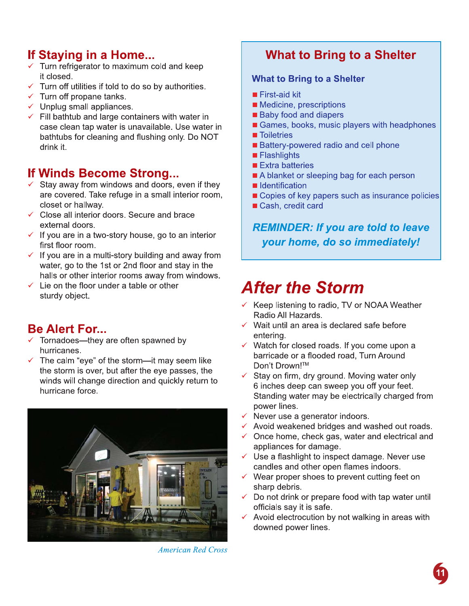# If Staying in a Home...

- $\checkmark$  Turn refrigerator to maximum cold and keep it closed.
- $\checkmark$  Turn off utilities if told to do so by authorities.
- $\checkmark$  Turn off propane tanks.
- $\checkmark$  Unplug small appliances.
- $\checkmark$  Fill bathtub and large containers with water in case clean tap water is unavailable. Use water in bathtubs for cleaning and flushing only. Do NOT drink it.

## If Winds Become Strong...

- $\checkmark$  Stay away from windows and doors, even if they are covered. Take refuge in a small interior room, closet or hallwav.
- ← Close all interior doors. Secure and brace external doors.
- $\checkmark$  If you are in a two-story house, go to an interior first floor room.
- $\checkmark$  If you are in a multi-story building and away from water, go to the 1st or 2nd floor and stay in the halls or other interior rooms away from windows.
- $\checkmark$  Lie on the floor under a table or other sturdy object.

# **Be Alert For...**

- $\checkmark$  Tornadoes—they are often spawned by hurricanes.
- $\checkmark$  The calm "eye" of the storm—it may seem like the storm is over, but after the eye passes, the winds will change direction and quickly return to hurricane force.



**American Red Cross** 

# **What to Bring to a Shelter**

### **What to Bring to a Shelter**

- First-aid kit
- Medicine, prescriptions
- **Baby food and diapers**
- Games, books, music players with headphones
- **Toiletries**
- Battery-powered radio and cell phone
- $\blacksquare$  Flashlights
- Extra batteries
- A blanket or sleeping bag for each person
- Identification
- Copies of key papers such as insurance policies
- Cash, credit card

### **REMINDER: If you are told to leave** your home, do so immediately!

# **After the Storm**

- ← Keep listening to radio, TV or NOAA Weather Radio All Hazards.
- $\checkmark$  Wait until an area is declared safe before entering.
- $\checkmark$  Watch for closed roads. If you come upon a barricade or a flooded road, Turn Around Don't Drown!™
- $\checkmark$  Stay on firm, dry ground. Moving water only 6 inches deep can sweep you off your feet. Standing water may be electrically charged from power lines.
- $\checkmark$  Never use a generator indoors.
- $\checkmark$  Avoid weakened bridges and washed out roads.
- $\checkmark$  Once home, check gas, water and electrical and appliances for damage.
- $\checkmark$  Use a flashlight to inspect damage. Never use candles and other open flames indoors.
- $\checkmark$  Wear proper shoes to prevent cutting feet on sharp debris.
- $\checkmark$  Do not drink or prepare food with tap water until officials say it is safe.
- $\checkmark$  Avoid electrocution by not walking in areas with downed power lines.